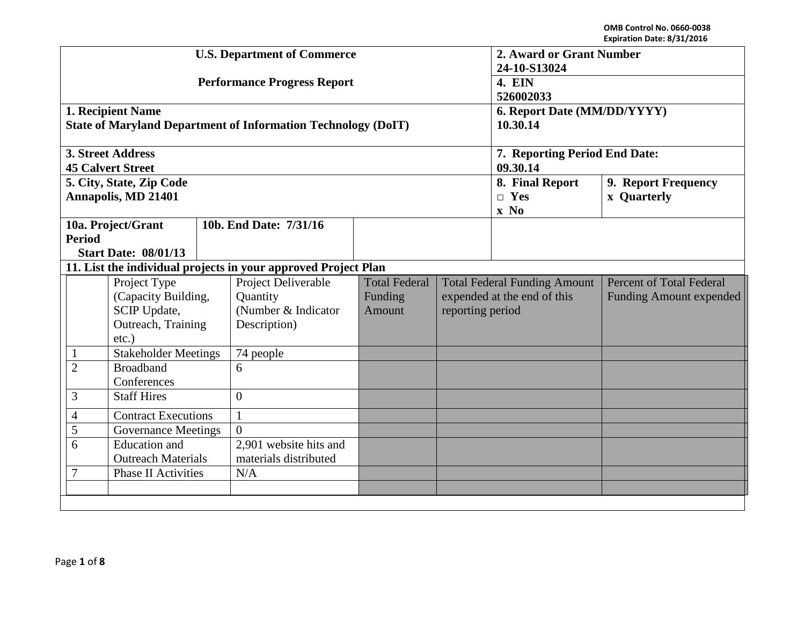|                                                    |                             |                        | <b>U.S. Department of Commerce</b>                                   | 2. Award or Grant Number |                             |                                     |                                 |  |
|----------------------------------------------------|-----------------------------|------------------------|----------------------------------------------------------------------|--------------------------|-----------------------------|-------------------------------------|---------------------------------|--|
|                                                    |                             |                        |                                                                      | 24-10-S13024             |                             |                                     |                                 |  |
|                                                    |                             |                        | <b>Performance Progress Report</b>                                   | <b>4. EIN</b>            |                             |                                     |                                 |  |
|                                                    |                             |                        |                                                                      | 526002033                |                             |                                     |                                 |  |
|                                                    | 1. Recipient Name           |                        |                                                                      |                          |                             | 6. Report Date (MM/DD/YYYY)         |                                 |  |
|                                                    |                             |                        | <b>State of Maryland Department of Information Technology (DoIT)</b> | 10.30.14                 |                             |                                     |                                 |  |
|                                                    | 3. Street Address           |                        |                                                                      |                          |                             | 7. Reporting Period End Date:       |                                 |  |
|                                                    | <b>45 Calvert Street</b>    |                        |                                                                      |                          |                             | 09.30.14                            |                                 |  |
|                                                    | 5. City, State, Zip Code    |                        |                                                                      |                          |                             | 8. Final Report                     | 9. Report Frequency             |  |
|                                                    | <b>Annapolis, MD 21401</b>  |                        |                                                                      |                          |                             | $\Box$ Yes                          | <b>x</b> Quarterly              |  |
|                                                    |                             |                        |                                                                      |                          |                             | $\mathbf{x} \mathbf{No}$            |                                 |  |
|                                                    | 10a. Project/Grant          |                        | 10b. End Date: 7/31/16                                               |                          |                             |                                     |                                 |  |
| <b>Period</b>                                      |                             |                        |                                                                      |                          |                             |                                     |                                 |  |
|                                                    | <b>Start Date: 08/01/13</b> |                        |                                                                      |                          |                             |                                     |                                 |  |
|                                                    |                             |                        | 11. List the individual projects in your approved Project Plan       |                          |                             |                                     |                                 |  |
|                                                    | Project Type                |                        | Project Deliverable                                                  | <b>Total Federal</b>     |                             | <b>Total Federal Funding Amount</b> | <b>Percent of Total Federal</b> |  |
|                                                    | (Capacity Building,         |                        | Quantity                                                             | Funding                  | expended at the end of this |                                     | <b>Funding Amount expended</b>  |  |
|                                                    | SCIP Update,                |                        | (Number & Indicator                                                  | Amount                   | reporting period            |                                     |                                 |  |
|                                                    | Outreach, Training          |                        | Description)                                                         |                          |                             |                                     |                                 |  |
|                                                    | $etc.$ )                    |                        |                                                                      |                          |                             |                                     |                                 |  |
| $\mathbf{1}$                                       | <b>Stakeholder Meetings</b> |                        | 74 people                                                            |                          |                             |                                     |                                 |  |
| $\overline{2}$                                     | <b>Broadband</b>            |                        | 6                                                                    |                          |                             |                                     |                                 |  |
| Conferences                                        |                             |                        |                                                                      |                          |                             |                                     |                                 |  |
| 3                                                  | <b>Staff Hires</b>          |                        | $\Omega$                                                             |                          |                             |                                     |                                 |  |
| <b>Contract Executions</b><br>$\overline{4}$       |                             | $\mathbf{1}$           |                                                                      |                          |                             |                                     |                                 |  |
| 5                                                  | <b>Governance Meetings</b>  |                        | $\Omega$                                                             |                          |                             |                                     |                                 |  |
| <b>Education</b> and<br>6                          |                             | 2,901 website hits and |                                                                      |                          |                             |                                     |                                 |  |
| <b>Outreach Materials</b><br>materials distributed |                             |                        |                                                                      |                          |                             |                                     |                                 |  |
| $\overline{7}$<br><b>Phase II Activities</b>       |                             |                        | N/A                                                                  |                          |                             |                                     |                                 |  |
|                                                    |                             |                        |                                                                      |                          |                             |                                     |                                 |  |
|                                                    |                             |                        |                                                                      |                          |                             |                                     |                                 |  |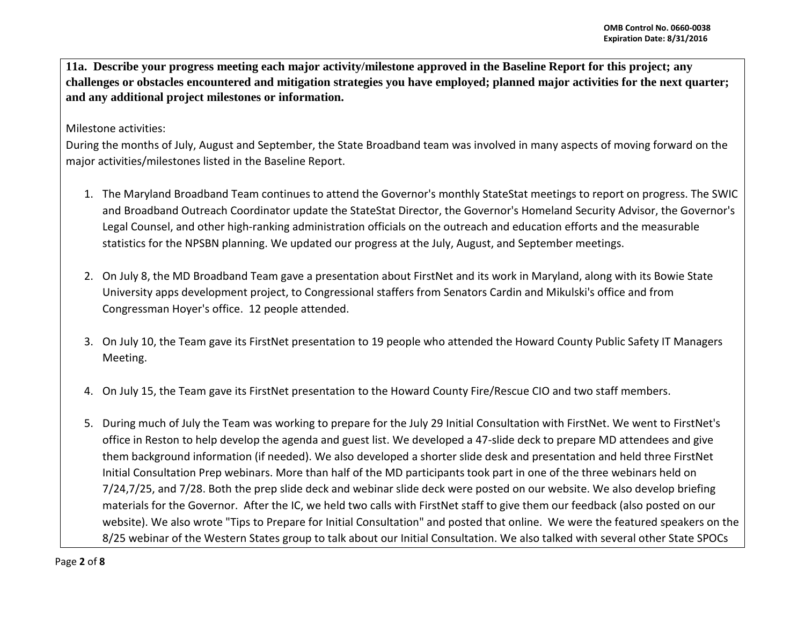**11a. Describe your progress meeting each major activity/milestone approved in the Baseline Report for this project; any challenges or obstacles encountered and mitigation strategies you have employed; planned major activities for the next quarter; and any additional project milestones or information.**

Milestone activities:

During the months of July, August and September, the State Broadband team was involved in many aspects of moving forward on the major activities/milestones listed in the Baseline Report.

- 1. The Maryland Broadband Team continues to attend the Governor's monthly StateStat meetings to report on progress. The SWIC and Broadband Outreach Coordinator update the StateStat Director, the Governor's Homeland Security Advisor, the Governor's Legal Counsel, and other high-ranking administration officials on the outreach and education efforts and the measurable statistics for the NPSBN planning. We updated our progress at the July, August, and September meetings.
- 2. On July 8, the MD Broadband Team gave a presentation about FirstNet and its work in Maryland, along with its Bowie State University apps development project, to Congressional staffers from Senators Cardin and Mikulski's office and from Congressman Hoyer's office. 12 people attended.
- 3. On July 10, the Team gave its FirstNet presentation to 19 people who attended the Howard County Public Safety IT Managers Meeting.
- 4. On July 15, the Team gave its FirstNet presentation to the Howard County Fire/Rescue CIO and two staff members.
- 5. During much of July the Team was working to prepare for the July 29 Initial Consultation with FirstNet. We went to FirstNet's office in Reston to help develop the agenda and guest list. We developed a 47-slide deck to prepare MD attendees and give them background information (if needed). We also developed a shorter slide desk and presentation and held three FirstNet Initial Consultation Prep webinars. More than half of the MD participants took part in one of the three webinars held on 7/24,7/25, and 7/28. Both the prep slide deck and webinar slide deck were posted on our website. We also develop briefing materials for the Governor. After the IC, we held two calls with FirstNet staff to give them our feedback (also posted on our website). We also wrote "Tips to Prepare for Initial Consultation" and posted that online. We were the featured speakers on the 8/25 webinar of the Western States group to talk about our Initial Consultation. We also talked with several other State SPOCs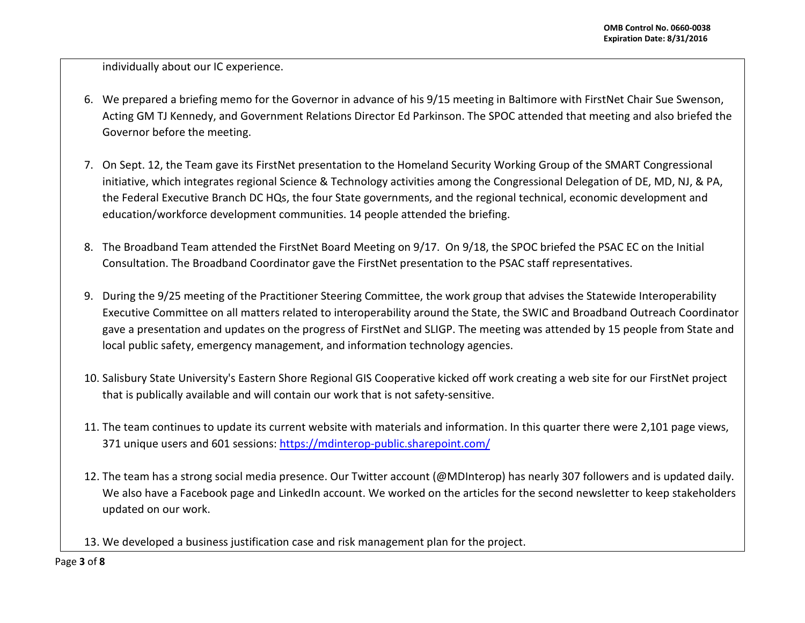individually about our IC experience.

- 6. We prepared a briefing memo for the Governor in advance of his 9/15 meeting in Baltimore with FirstNet Chair Sue Swenson, Acting GM TJ Kennedy, and Government Relations Director Ed Parkinson. The SPOC attended that meeting and also briefed the Governor before the meeting.
- 7. On Sept. 12, the Team gave its FirstNet presentation to the Homeland Security Working Group of the SMART Congressional initiative, which integrates regional Science & Technology activities among the Congressional Delegation of DE, MD, NJ, & PA, the Federal Executive Branch DC HQs, the four State governments, and the regional technical, economic development and education/workforce development communities. 14 people attended the briefing.
- 8. The Broadband Team attended the FirstNet Board Meeting on 9/17. On 9/18, the SPOC briefed the PSAC EC on the Initial Consultation. The Broadband Coordinator gave the FirstNet presentation to the PSAC staff representatives.
- 9. During the 9/25 meeting of the Practitioner Steering Committee, the work group that advises the Statewide Interoperability Executive Committee on all matters related to interoperability around the State, the SWIC and Broadband Outreach Coordinator gave a presentation and updates on the progress of FirstNet and SLIGP. The meeting was attended by 15 people from State and local public safety, emergency management, and information technology agencies.
- 10. Salisbury State University's Eastern Shore Regional GIS Cooperative kicked off work creating a web site for our FirstNet project that is publically available and will contain our work that is not safety-sensitive.
- 11. The team continues to update its current website with materials and information. In this quarter there were 2,101 page views, 371 unique users and 601 sessions:<https://mdinterop-public.sharepoint.com/>
- 12. The team has a strong social media presence. Our Twitter account (@MDInterop) has nearly 307 followers and is updated daily. We also have a Facebook page and LinkedIn account. We worked on the articles for the second newsletter to keep stakeholders updated on our work.
- 13. We developed a business justification case and risk management plan for the project.

Page **3** of **8**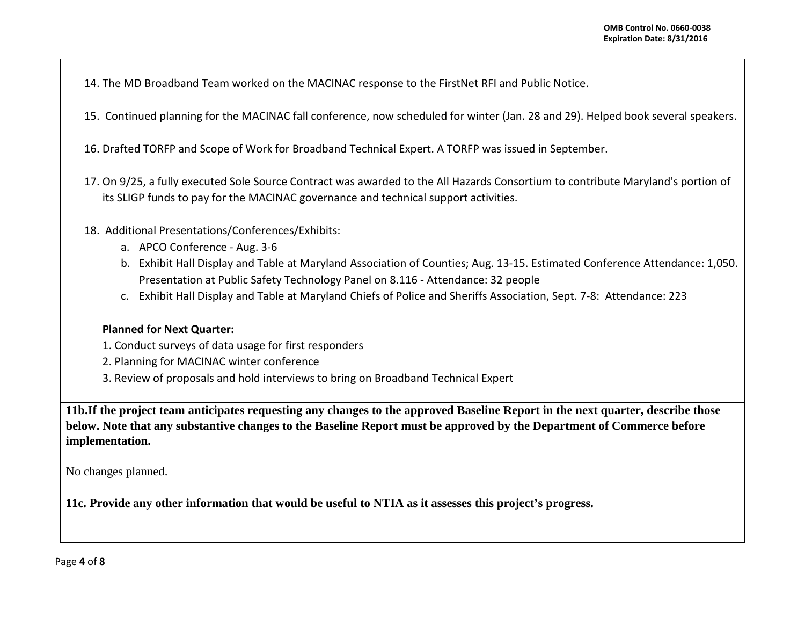- 14. The MD Broadband Team worked on the MACINAC response to the FirstNet RFI and Public Notice.
- 15. Continued planning for the MACINAC fall conference, now scheduled for winter (Jan. 28 and 29). Helped book several speakers.
- 16. Drafted TORFP and Scope of Work for Broadband Technical Expert. A TORFP was issued in September.
- 17. On 9/25, a fully executed Sole Source Contract was awarded to the All Hazards Consortium to contribute Maryland's portion of its SLIGP funds to pay for the MACINAC governance and technical support activities.
- 18. Additional Presentations/Conferences/Exhibits:
	- a. APCO Conference Aug. 3-6
	- b. Exhibit Hall Display and Table at Maryland Association of Counties; Aug. 13-15. Estimated Conference Attendance: 1,050. Presentation at Public Safety Technology Panel on 8.116 - Attendance: 32 people
	- c. Exhibit Hall Display and Table at Maryland Chiefs of Police and Sheriffs Association, Sept. 7-8: Attendance: 223

### **Planned for Next Quarter:**

- 1. Conduct surveys of data usage for first responders
- 2. Planning for MACINAC winter conference
- 3. Review of proposals and hold interviews to bring on Broadband Technical Expert

**11b.If the project team anticipates requesting any changes to the approved Baseline Report in the next quarter, describe those below. Note that any substantive changes to the Baseline Report must be approved by the Department of Commerce before implementation.** 

No changes planned.

**11c. Provide any other information that would be useful to NTIA as it assesses this project's progress.**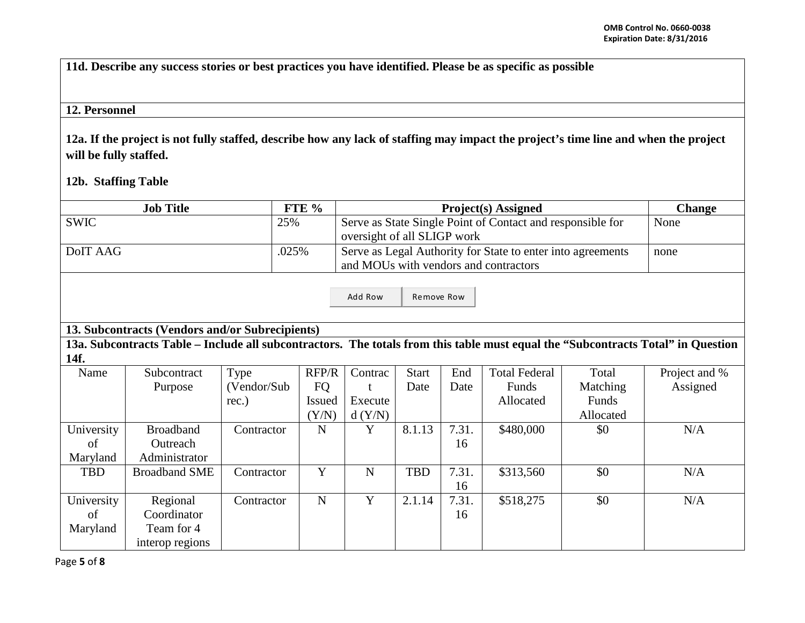**11d. Describe any success stories or best practices you have identified. Please be as specific as possible**

# **12. Personnel**

**12a. If the project is not fully staffed, describe how any lack of staffing may impact the project's time line and when the project will be fully staffed.**

**12b. Staffing Table**

| <b>Job Title</b> |                                                 |             | FTE %         | <b>Project(s)</b> Assigned<br><b>Change</b>                                               |              |       |                      |           |                                                                                                                                  |  |
|------------------|-------------------------------------------------|-------------|---------------|-------------------------------------------------------------------------------------------|--------------|-------|----------------------|-----------|----------------------------------------------------------------------------------------------------------------------------------|--|
| <b>SWIC</b>      |                                                 |             | 25%           | Serve as State Single Point of Contact and responsible for<br>oversight of all SLIGP work | None         |       |                      |           |                                                                                                                                  |  |
| DoIT AAG         |                                                 | .025%       |               | Serve as Legal Authority for State to enter into agreements                               | none         |       |                      |           |                                                                                                                                  |  |
|                  |                                                 |             |               | and MOUs with vendors and contractors                                                     |              |       |                      |           |                                                                                                                                  |  |
|                  | Remove Row<br>Add Row                           |             |               |                                                                                           |              |       |                      |           |                                                                                                                                  |  |
|                  | 13. Subcontracts (Vendors and/or Subrecipients) |             |               |                                                                                           |              |       |                      |           |                                                                                                                                  |  |
|                  |                                                 |             |               |                                                                                           |              |       |                      |           | 13a. Subcontracts Table – Include all subcontractors. The totals from this table must equal the "Subcontracts Total" in Question |  |
| 14f.             |                                                 |             |               |                                                                                           |              |       |                      |           |                                                                                                                                  |  |
| Name             | Subcontract                                     | Type        | RFP/R         | Contrac                                                                                   | <b>Start</b> | End   | <b>Total Federal</b> | Total     | Project and %                                                                                                                    |  |
|                  | Purpose                                         | (Vendor/Sub | <b>FQ</b>     |                                                                                           | Date         | Date  | Funds                | Matching  | Assigned                                                                                                                         |  |
|                  |                                                 | rec.)       | <b>Issued</b> | Execute                                                                                   |              |       | Allocated            | Funds     |                                                                                                                                  |  |
|                  |                                                 |             | (Y/N)         | d(Y/N)                                                                                    |              |       |                      | Allocated |                                                                                                                                  |  |
| University       | <b>Broadband</b>                                | Contractor  | $\mathbf N$   | Y                                                                                         | 8.1.13       | 7.31. | \$480,000            | \$0       | N/A                                                                                                                              |  |
| of               | Outreach                                        |             |               |                                                                                           |              | 16    |                      |           |                                                                                                                                  |  |
| Maryland         | Administrator                                   |             |               |                                                                                           |              |       |                      |           |                                                                                                                                  |  |
| <b>TBD</b>       | <b>Broadband SME</b>                            | Contractor  | Y             | N                                                                                         | <b>TBD</b>   | 7.31. | \$313,560            | \$0       | N/A                                                                                                                              |  |
|                  |                                                 |             |               |                                                                                           |              | 16    |                      |           |                                                                                                                                  |  |
| University       | Regional                                        | Contractor  | $\mathbf N$   | Y                                                                                         | 2.1.14       | 7.31. | \$518,275            | \$0       | N/A                                                                                                                              |  |
| of               | Coordinator                                     |             |               |                                                                                           |              | 16    |                      |           |                                                                                                                                  |  |
| Maryland         | Team for 4                                      |             |               |                                                                                           |              |       |                      |           |                                                                                                                                  |  |
|                  | interop regions                                 |             |               |                                                                                           |              |       |                      |           |                                                                                                                                  |  |

Page **5** of **8**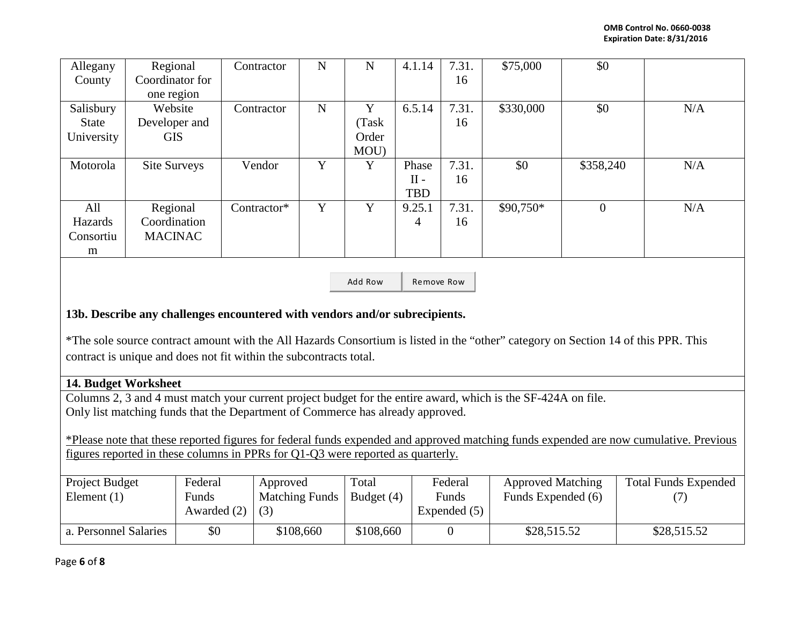| Allegany   | Regional        | Contractor  | N | N     | 4.1.14     | 7.31. | \$75,000  | \$0            |     |
|------------|-----------------|-------------|---|-------|------------|-------|-----------|----------------|-----|
| County     | Coordinator for |             |   |       |            | 16    |           |                |     |
|            | one region      |             |   |       |            |       |           |                |     |
| Salisbury  | Website         | Contractor  | N | Y     | 6.5.14     | 7.31. | \$330,000 | \$0            | N/A |
| State      | Developer and   |             |   | Task  |            | 16    |           |                |     |
| University | <b>GIS</b>      |             |   | Order |            |       |           |                |     |
|            |                 |             |   | MOU)  |            |       |           |                |     |
| Motorola   | Site Surveys    | Vendor      | Y | Y     | Phase      | 7.31. | \$0       | \$358,240      | N/A |
|            |                 |             |   |       | $II -$     | 16    |           |                |     |
|            |                 |             |   |       | <b>TBD</b> |       |           |                |     |
| All        | Regional        | Contractor* | Y | Y     | 9.25.1     | 7.31. | \$90,750* | $\overline{0}$ | N/A |
| Hazards    | Coordination    |             |   |       | 4          | 16    |           |                |     |
| Consortiu  | <b>MACINAC</b>  |             |   |       |            |       |           |                |     |
| m          |                 |             |   |       |            |       |           |                |     |

Add Row Remove Row

## **13b. Describe any challenges encountered with vendors and/or subrecipients.**

\*The sole source contract amount with the All Hazards Consortium is listed in the "other" category on Section 14 of this PPR. This contract is unique and does not fit within the subcontracts total.

#### **14. Budget Worksheet**

Columns 2, 3 and 4 must match your current project budget for the entire award, which is the SF-424A on file. Only list matching funds that the Department of Commerce has already approved.

\*Please note that these reported figures for federal funds expended and approved matching funds expended are now cumulative. Previous figures reported in these columns in PPRs for Q1-Q3 were reported as quarterly.

| Project Budget<br>Element $(1)$ | Federal<br>Funds<br>Awarded $(2)$ | Approved<br><b>Matching Funds</b><br>(3) | Total<br>Budget $(4)$ | Federal<br>Funds<br>Expended (5) | <b>Approved Matching</b><br>Funds Expended (6) | <b>Total Funds Expended</b> |
|---------------------------------|-----------------------------------|------------------------------------------|-----------------------|----------------------------------|------------------------------------------------|-----------------------------|
| a. Personnel Salaries           | \$0                               | \$108,660                                | \$108,660             |                                  | \$28,515.52                                    | \$28,515.52                 |